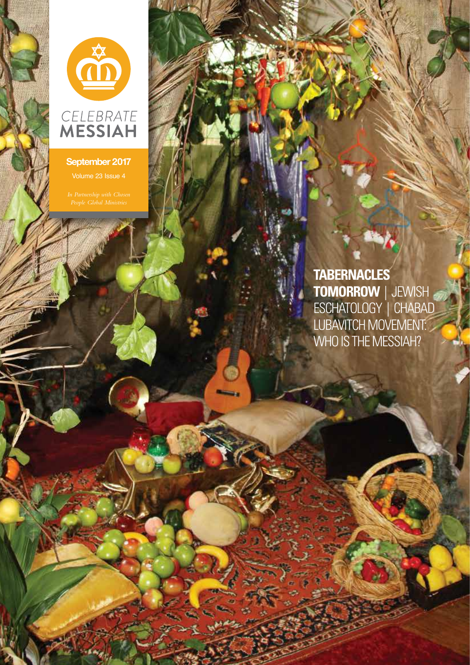

### **September 2017**

**Killed B.** 

**TABERNACLES TOMORROW** | JEWISH ESCHATOLOGY<sup>'</sup>| CHABAD LUBAVITCH MOVEMENT: WHO IS THE MESSIAH?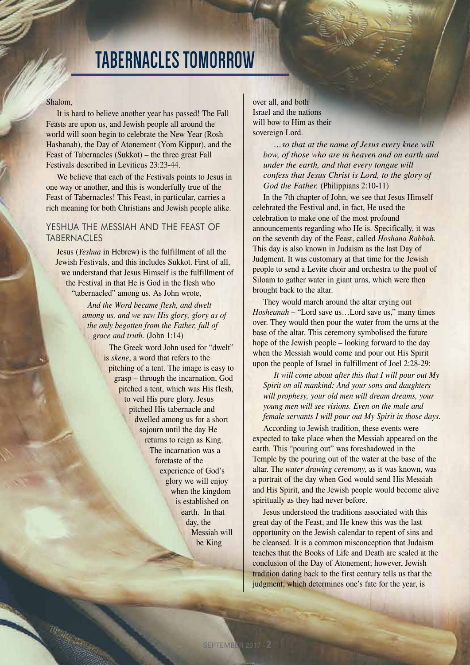## **TABERNACLES TOMORROW**

#### Shalom,

It is hard to believe another year has passed! The Fall Feasts are upon us, and Jewish people all around the world will soon begin to celebrate the New Year (Rosh Hashanah), the Day of Atonement (Yom Kippur), and the Feast of Tabernacles (Sukkot) – the three great Fall Festivals described in Leviticus 23:23-44.

We believe that each of the Festivals points to Jesus in one way or another, and this is wonderfully true of the Feast of Tabernacles! This Feast, in particular, carries a rich meaning for both Christians and Jewish people alike.

### YESHUA THE MESSIAH AND THE FEAST OF **TABERNACLES**

Jesus (*Yeshua* in Hebrew) is the fulfillment of all the Jewish Festivals, and this includes Sukkot. First of all, we understand that Jesus Himself is the fulfillment of the Festival in that He is God in the flesh who "tabernacled" among us. As John wrote,

> *And the Word became flesh, and dwelt among us, and we saw His glory, glory as of the only begotten from the Father, full of grace and truth.* (John 1:14)

> > The Greek word John used for "dwelt" is *skene*, a word that refers to the pitching of a tent. The image is easy to grasp – through the incarnation, God pitched a tent, which was His flesh, to veil His pure glory. Jesus pitched His tabernacle and dwelled among us for a short sojourn until the day He returns to reign as King. The incarnation was a foretaste of the experience of God's glory we will enjoy when the kingdom is established on earth. In that day, the Messiah will be King

over all, and both Israel and the nations will bow to Him as their sovereign Lord.

> *…so that at the name of Jesus every knee will bow, of those who are in heaven and on earth and under the earth, and that every tongue will confess that Jesus Christ is Lord, to the glory of God the Father.* (Philippians 2:10-11)

In the 7th chapter of John, we see that Jesus Himself celebrated the Festival and, in fact, He used the celebration to make one of the most profound announcements regarding who He is. Specifically, it was on the seventh day of the Feast, called *Hoshana Rabbah.* This day is also known in Judaism as the last Day of Judgment. It was customary at that time for the Jewish people to send a Levite choir and orchestra to the pool of Siloam to gather water in giant urns, which were then brought back to the altar.

They would march around the altar crying out *Hosheanah* – "Lord save us…Lord save us," many times over. They would then pour the water from the urns at the base of the altar. This ceremony symbolised the future hope of the Jewish people – looking forward to the day when the Messiah would come and pour out His Spirit upon the people of Israel in fulfillment of Joel 2:28-29:

*It will come about after this that I will pour out My Spirit on all mankind: And your sons and daughters will prophesy, your old men will dream dreams, your young men will see visions. Even on the male and female servants I will pour out My Spirit in those days.*

According to Jewish tradition, these events were expected to take place when the Messiah appeared on the earth. This "pouring out" was foreshadowed in the Temple by the pouring out of the water at the base of the altar. The *water drawing ceremony,* as it was known, was a portrait of the day when God would send His Messiah and His Spirit, and the Jewish people would become alive spiritually as they had never before.

Jesus understood the traditions associated with this great day of the Feast, and He knew this was the last opportunity on the Jewish calendar to repent of sins and be cleansed. It is a common misconception that Judaism teaches that the Books of Life and Death are sealed at the conclusion of the Day of Atonement; however, Jewish tradition dating back to the first century tells us that the judgment, which determines one's fate for the year, is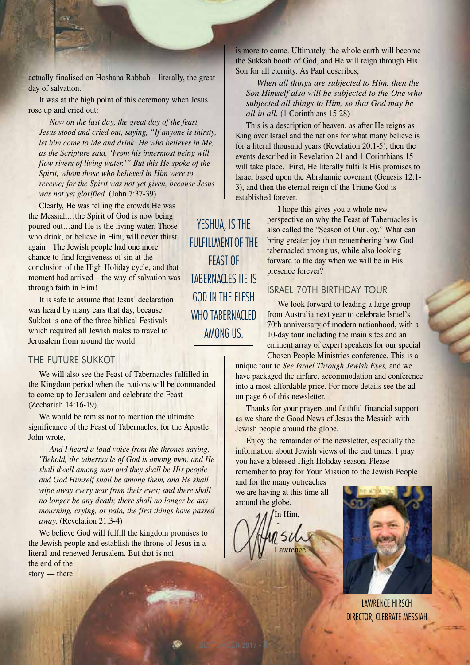actually finalised on Hoshana Rabbah – literally, the great day of salvation.

It was at the high point of this ceremony when Jesus rose up and cried out:

*Now on the last day, the great day of the feast, Jesus stood and cried out, saying, "If anyone is thirsty, let him come to Me and drink. He who believes in Me, as the Scripture said, 'From his innermost being will flow rivers of living water.'" But this He spoke of the Spirit, whom those who believed in Him were to receive; for the Spirit was not yet given, because Jesus was not yet glorified.* (John 7:37-39)

Clearly, He was telling the crowds He was the Messiah…the Spirit of God is now being poured out…and He is the living water. Those who drink, or believe in Him, will never thirst again! The Jewish people had one more chance to find forgiveness of sin at the conclusion of the High Holiday cycle, and that moment had arrived – the way of salvation was through faith in Him!

It is safe to assume that Jesus' declaration was heard by many ears that day, because Sukkot is one of the three biblical Festivals which required all Jewish males to travel to Jerusalem from around the world.

### THE FUTURE SUKKOT

We will also see the Feast of Tabernacles fulfilled in the Kingdom period when the nations will be commanded to come up to Jerusalem and celebrate the Feast (Zechariah 14:16-19).

We would be remiss not to mention the ultimate significance of the Feast of Tabernacles, for the Apostle John wrote,

*And I heard a loud voice from the thrones saying, "Behold, the tabernacle of God is among men, and He shall dwell among men and they shall be His people and God Himself shall be among them, and He shall wipe away every tear from their eyes; and there shall no longer be any death; there shall no longer be any mourning, crying, or pain, the first things have passed away.* (Revelation 21:3-4)

We believe God will fulfill the kingdom promises to the Jewish people and establish the throne of Jesus in a literal and renewed Jerusalem. But that is not the end of the story — there

YESHUA, IS THE FULFILLMENTOF THE FEAST OF TABERNACLES HE IS GOD IN THE FIFSH WHO TABERNACLED AMONG US.

is more to come. Ultimately, the whole earth will become the Sukkah booth of God, and He will reign through His Son for all eternity. As Paul describes,

*When all things are subjected to Him, then the Son Himself also will be subjected to the One who subjected all things to Him, so that God may be all in all.* (1 Corinthians 15:28)

This is a description of heaven, as after He reigns as King over Israel and the nations for what many believe is for a literal thousand years (Revelation 20:1-5), then the events described in Revelation 21 and 1 Corinthians 15 will take place. First, He literally fulfills His promises to Israel based upon the Abrahamic covenant (Genesis 12:1- 3), and then the eternal reign of the Triune God is established forever.

> I hope this gives you a whole new perspective on why the Feast of Tabernacles is also called the "Season of Our Joy." What can bring greater joy than remembering how God tabernacled among us, while also looking forward to the day when we will be in His presence forever?

### ISRAEL 70TH BIRTHDAY TOUR

We look forward to leading a large group from Australia next year to celebrate Israel's 70th anniversary of modern nationhood, with a 10-day tour including the main sites and an eminent array of expert speakers for our special Chosen People Ministries conference. This is a

unique tour to *See Israel Through Jewish Eyes,* and we have packaged the airfare, accommodation and conference into a most affordable price. For more details see the ad on page 6 of this newsletter.

Thanks for your prayers and faithful financial support as we share the Good News of Jesus the Messiah with Jewish people around the globe.

Enjoy the remainder of the newsletter, especially the information about Jewish views of the end times. I pray you have a blessed High Holiday season. Please remember to pray for Your Mission to the Jewish People

and for the many outreaches we are having at this time all around the globe.



SEPTEMBER 2017 - **3**



LAWRENCE HIRSCH DIRECTOR, CLEBRATE MESSIAH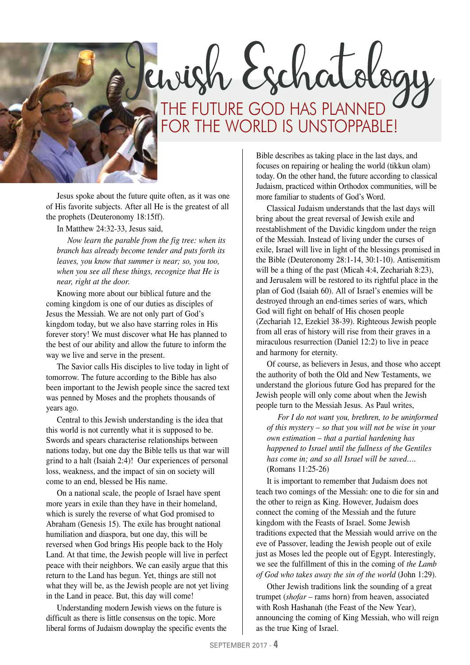

ewish Eschatology THE FUTURE GOD HAS PLANNED FOR THE WORLD IS UNSTOPPABLE!

Jesus spoke about the future quite often, as it was one of His favorite subjects. After all He is the greatest of all the prophets (Deuteronomy 18:15ff).

In Matthew 24:32-33, Jesus said,

*Now learn the parable from the fig tree: when its branch has already become tender and puts forth its leaves, you know that summer is near; so, you too, when you see all these things, recognize that He is near, right at the door.*

Knowing more about our biblical future and the coming kingdom is one of our duties as disciples of Jesus the Messiah. We are not only part of God's kingdom today, but we also have starring roles in His forever story! We must discover what He has planned to the best of our ability and allow the future to inform the way we live and serve in the present.

The Savior calls His disciples to live today in light of tomorrow. The future according to the Bible has also been important to the Jewish people since the sacred text was penned by Moses and the prophets thousands of years ago.

Central to this Jewish understanding is the idea that this world is not currently what it is supposed to be. Swords and spears characterise relationships between nations today, but one day the Bible tells us that war will grind to a halt (Isaiah 2:4)! Our experiences of personal loss, weakness, and the impact of sin on society will come to an end, blessed be His name.

On a national scale, the people of Israel have spent more years in exile than they have in their homeland, which is surely the reverse of what God promised to Abraham (Genesis 15). The exile has brought national humiliation and diaspora, but one day, this will be reversed when God brings His people back to the Holy Land. At that time, the Jewish people will live in perfect peace with their neighbors. We can easily argue that this return to the Land has begun. Yet, things are still not what they will be, as the Jewish people are not yet living in the Land in peace. But, this day will come!

Understanding modern Jewish views on the future is difficult as there is little consensus on the topic. More liberal forms of Judaism downplay the specific events the

Bible describes as taking place in the last days, and focuses on repairing or healing the world (tikkun olam) today. On the other hand, the future according to classical Judaism, practiced within Orthodox communities, will be more familiar to students of God's Word.

Classical Judaism understands that the last days will bring about the great reversal of Jewish exile and reestablishment of the Davidic kingdom under the reign of the Messiah. Instead of living under the curses of exile, Israel will live in light of the blessings promised in the Bible (Deuteronomy 28:1-14, 30:1-10). Antisemitism will be a thing of the past (Micah 4:4, Zechariah 8:23), and Jerusalem will be restored to its rightful place in the plan of God (Isaiah 60). All of Israel's enemies will be destroyed through an end-times series of wars, which God will fight on behalf of His chosen people (Zechariah 12, Ezekiel 38-39). Righteous Jewish people from all eras of history will rise from their graves in a miraculous resurrection (Daniel 12:2) to live in peace and harmony for eternity.

Of course, as believers in Jesus, and those who accept the authority of both the Old and New Testaments, we understand the glorious future God has prepared for the Jewish people will only come about when the Jewish people turn to the Messiah Jesus. As Paul writes,

*For I do not want you, brethren, to be uninformed of this mystery – so that you will not be wise in your own estimation – that a partial hardening has happened to Israel until the fullness of the Gentiles has come in; and so all Israel will be saved….* (Romans 11:25-26)

It is important to remember that Judaism does not teach two comings of the Messiah: one to die for sin and the other to reign as King. However, Judaism does connect the coming of the Messiah and the future kingdom with the Feasts of Israel. Some Jewish traditions expected that the Messiah would arrive on the eve of Passover, leading the Jewish people out of exile just as Moses led the people out of Egypt. Interestingly, we see the fulfillment of this in the coming of *the Lamb of God who takes away the sin of the world* (John 1:29).

Other Jewish traditions link the sounding of a great trumpet (*shofar* – rams horn) from heaven, associated with Rosh Hashanah (the Feast of the New Year), announcing the coming of King Messiah, who will reign as the true King of Israel.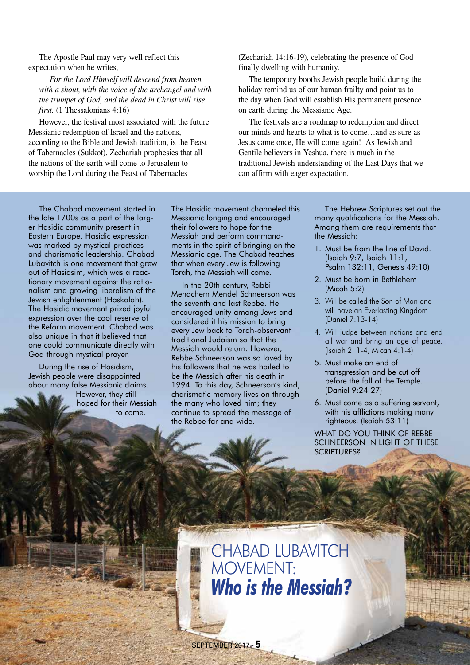The Apostle Paul may very well reflect this expectation when he writes,

*For the Lord Himself will descend from heaven with a shout, with the voice of the archangel and with the trumpet of God, and the dead in Christ will rise first.* (1 Thessalonians 4:16)

However, the festival most associated with the future Messianic redemption of Israel and the nations, according to the Bible and Jewish tradition, is the Feast of Tabernacles (Sukkot). Zechariah prophesies that all the nations of the earth will come to Jerusalem to worship the Lord during the Feast of Tabernacles

(Zechariah 14:16-19), celebrating the presence of God finally dwelling with humanity.

The temporary booths Jewish people build during the holiday remind us of our human frailty and point us to the day when God will establish His permanent presence on earth during the Messianic Age.

The festivals are a roadmap to redemption and direct our minds and hearts to what is to come…and as sure as Jesus came once, He will come again! As Jewish and Gentile believers in Yeshua, there is much in the traditional Jewish understanding of the Last Days that we can affirm with eager expectation.

The Chabad movement started in the late 1700s as a part of the larger Hasidic community present in Eastern Europe. Hasidic expression was marked by mystical practices and charismatic leadership. Chabad Lubavitch is one movement that grew out of Hasidsim, which was a reactionary movement against the rationalism and growing liberalism of the Jewish enlightenment (Haskalah). The Hasidic movement prized joyful expression over the cool reserve of the Reform movement. Chabad was also unique in that it believed that one could communicate directly with God through mystical prayer.

During the rise of Hasidism, Jewish people were disappointed about many false Messianic claims. However, they still

hoped for their Messiah to come.

The Hasidic movement channeled this Messianic longing and encouraged their followers to hope for the Messiah and perform commandments in the spirit of bringing on the Messianic age. The Chabad teaches that when every Jew is following Torah, the Messiah will come.

In the 20th century, Rabbi Menachem Mendel Schneerson was the seventh and last Rebbe. He encouraged unity among Jews and considered it his mission to bring every Jew back to Torah-observant traditional Judaism so that the Messiah would return. However, Rebbe Schneerson was so loved by his followers that he was hailed to be the Messiah after his death in 1994. To this day, Schneerson's kind, charismatic memory lives on through the many who loved him; they continue to spread the message of the Rebbe far and wide.

The Hebrew Scriptures set out the many qualifications for the Messiah. Among them are requirements that the Messiah:

- 1. Must be from the line of David. (Isaiah 9:7, Isaiah 11:1, Psalm 132:11, Genesis 49:10)
- 2. Must be born in Bethlehem (Micah 5:2)
- 3. Will be called the Son of Man and will have an Everlasting Kingdom (Daniel 7:13-14)
- 4. Will judge between nations and end all war and bring an age of peace. (Isaiah 2: 1-4, Micah 4:1-4)
- 5. Must make an end of transgression and be cut off before the fall of the Temple. (Daniel 9:24-27)
- 6. Must come as a suffering servant, with his afflictions making many righteous. (Isaiah 53:11)

WHAT DO YOU THINK OF REBBE SCHNEERSON IN LIGHT OF THESE SCRIPTURES?

CHABAD LUBAVITCH MOVEMENT: *Who is the Messiah?*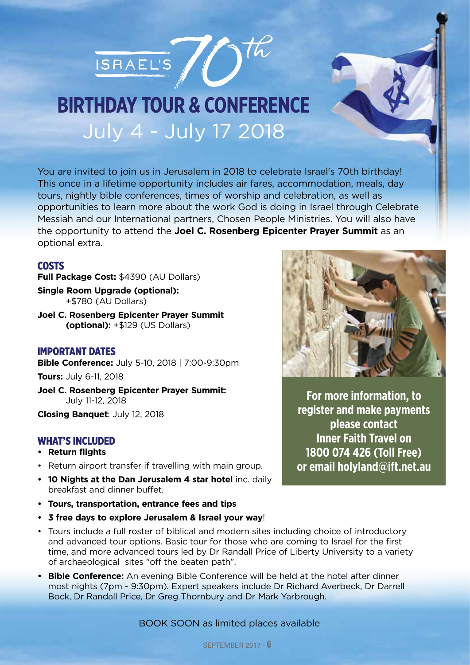



## July 4 - July 17 2018 **BIRTHDAY TOUR & CONFERENCE**

You are invited to join us in Jerusalem in 2018 to celebrate Israel's 70th birthday! This once in a lifetime opportunity includes air fares, accommodation, meals, day tours, nightly bible conferences, times of worship and celebration, as well as opportunities to learn more about the work God is doing in Israel through Celebrate Messiah and our International partners, Chosen People Ministries. You will also have the opportunity to attend the **Joel C. Rosenberg Epicenter Prayer Summit** as an optional extra.

### COSTS

**Full Package Cost:** \$4390 (AU Dollars)

**Single Room Upgrade (optional):** +\$780 (AU Dollars)

**Joel C. Rosenberg Epicenter Prayer Summit (optional):** +\$129 (US Dollars)

### IMPORTANT DATES

**Bible Conference:** July 5-10, 2018 | 7:00-9:30pm

**Tours:** July 6-11, 2018

**Joel C. Rosenberg Epicenter Prayer Summit:** July 11-12, 2018

**Closing Banquet**: July 12, 2018

### WHAT'S INCLUDED

- **• Return flights**
- Return airport transfer if travelling with main group.
- **• 10 Nights at the Dan Jerusalem 4 star hotel** inc. daily breakfast and dinner buffet.
- **• Tours, transportation, entrance fees and tips**
- **• 3 free days to explore Jerusalem & Israel your way**!
- Tours include a full roster of biblical and modern sites including choice of introductory and advanced tour options. Basic tour for those who are coming to Israel for the first time, and more advanced tours led by Dr Randall Price of Liberty University to a variety of archaeological sites "off the beaten path".
- **• Bible Conference:** An evening Bible Conference will be held at the hotel after dinner most nights (7pm - 9:30pm). Expert speakers include Dr Richard Averbeck, Dr Darrell Bock, Dr Randall Price, Dr Greg Thornbury and Dr Mark Yarbrough.



**For more information, to register and make payments please contact Inner Faith Travel on 1800 074 426 (Toll Free) or email holyland@ift.net.au**

BOOK SOON as limited places available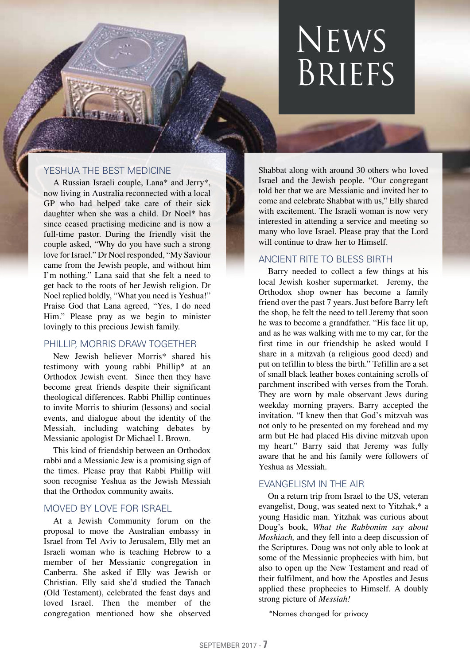## News Briefs

### YESHUA THE BEST MEDICINE

A Russian Israeli couple, Lana\* and Jerry\*, now living in Australia reconnected with a local GP who had helped take care of their sick daughter when she was a child. Dr Noel\* has since ceased practising medicine and is now a full-time pastor. During the friendly visit the couple asked, "Why do you have such a strong love for Israel." Dr Noel responded, "My Saviour came from the Jewish people, and without him I'm nothing." Lana said that she felt a need to get back to the roots of her Jewish religion. Dr Noel replied boldly, "What you need is Yeshua!" Praise God that Lana agreed, "Yes, I do need Him." Please pray as we begin to minister lovingly to this precious Jewish family.

### PHILLIP, MORRIS DRAW TOGETHER

New Jewish believer Morris\* shared his testimony with young rabbi Phillip\* at an Orthodox Jewish event. Since then they have become great friends despite their significant theological differences. Rabbi Phillip continues to invite Morris to shiurim (lessons) and social events, and dialogue about the identity of the Messiah, including watching debates by Messianic apologist Dr Michael L Brown.

This kind of friendship between an Orthodox rabbi and a Messianic Jew is a promising sign of the times. Please pray that Rabbi Phillip will soon recognise Yeshua as the Jewish Messiah that the Orthodox community awaits.

### MOVED BY LOVE FOR ISRAEL

At a Jewish Community forum on the proposal to move the Australian embassy in Israel from Tel Aviv to Jerusalem, Elly met an Israeli woman who is teaching Hebrew to a member of her Messianic congregation in Canberra. She asked if Elly was Jewish or Christian. Elly said she'd studied the Tanach (Old Testament), celebrated the feast days and loved Israel. Then the member of the congregation mentioned how she observed

Shabbat along with around 30 others who loved Israel and the Jewish people. "Our congregant told her that we are Messianic and invited her to come and celebrate Shabbat with us," Elly shared with excitement. The Israeli woman is now very interested in attending a service and meeting so many who love Israel. Please pray that the Lord will continue to draw her to Himself.

### ANCIENT RITE TO BLESS BIRTH

Barry needed to collect a few things at his local Jewish kosher supermarket. Jeremy, the Orthodox shop owner has become a family friend over the past 7 years. Just before Barry left the shop, he felt the need to tell Jeremy that soon he was to become a grandfather. "His face lit up, and as he was walking with me to my car, for the first time in our friendship he asked would I share in a mitzvah (a religious good deed) and put on tefillin to bless the birth." Tefillin are a set of small black leather boxes containing scrolls of parchment inscribed with verses from the Torah. They are worn by male observant Jews during weekday morning prayers. Barry accepted the invitation. "I knew then that God's mitzvah was not only to be presented on my forehead and my arm but He had placed His divine mitzvah upon my heart." Barry said that Jeremy was fully aware that he and his family were followers of Yeshua as Messiah.

### EVANGELISM IN THE AIR

On a return trip from Israel to the US, veteran evangelist, Doug, was seated next to Yitzhak,\* a young Hasidic man. Yitzhak was curious about Doug's book, *What the Rabbonim say about Moshiach,* and they fell into a deep discussion of the Scriptures. Doug was not only able to look at some of the Messianic prophecies with him, but also to open up the New Testament and read of their fulfilment, and how the Apostles and Jesus applied these prophecies to Himself. A doubly strong picture of *Messiah!*

\*Names changed for privacy